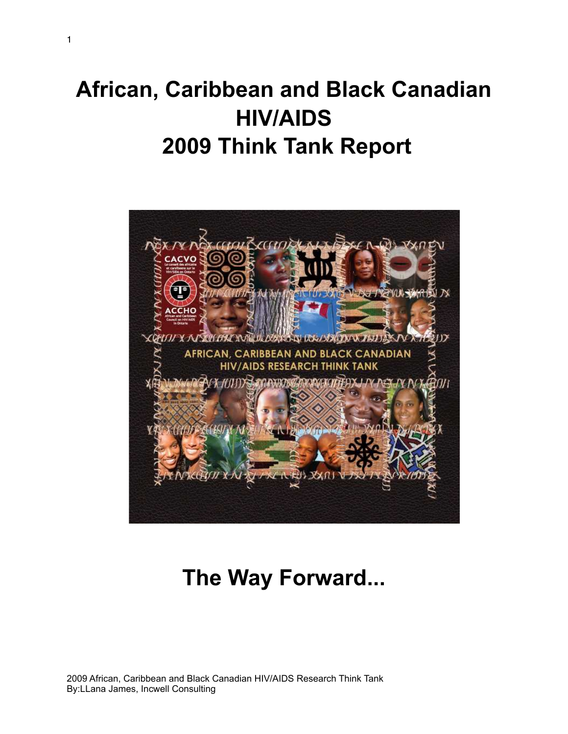# **African, Caribbean and Black Canadian HIV/AIDS 2009 Think Tank Report**



# **The Way Forward...**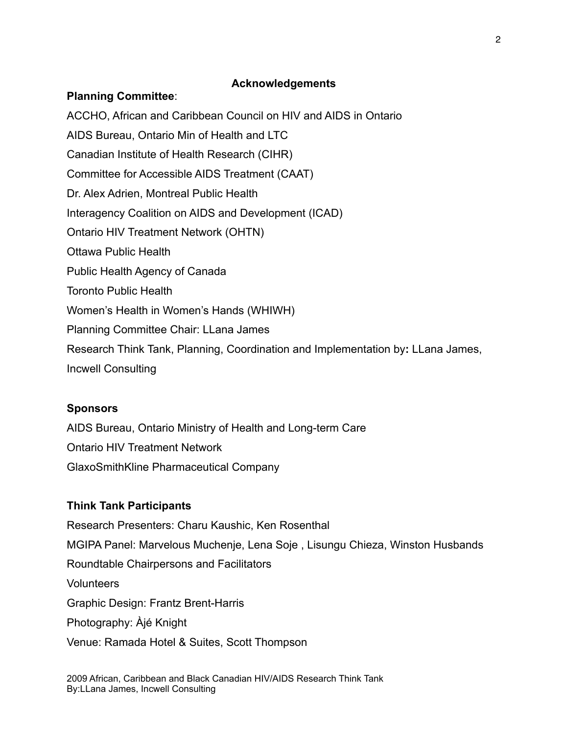# **Acknowledgements**

# **Planning Committee**:

ACCHO, African and Caribbean Council on HIV and AIDS in Ontario AIDS Bureau, Ontario Min of Health and LTC Canadian Institute of Health Research (CIHR) Committee for Accessible AIDS Treatment (CAAT) Dr. Alex Adrien, Montreal Public Health Interagency Coalition on AIDS and Development (ICAD) Ontario HIV Treatment Network (OHTN) Ottawa Public Health Public Health Agency of Canada Toronto Public Health Women's Health in Women's Hands (WHIWH) Planning Committee Chair: LLana James Research Think Tank, Planning, Coordination and Implementation by**:** LLana James, Incwell Consulting

# **Sponsors**

AIDS Bureau, Ontario Ministry of Health and Long-term Care Ontario HIV Treatment Network GlaxoSmithKline Pharmaceutical Company

# **Think Tank Participants**

Research Presenters: Charu Kaushic, Ken Rosenthal MGIPA Panel: Marvelous Muchenje, Lena Soje , Lisungu Chieza, Winston Husbands Roundtable Chairpersons and Facilitators Volunteers Graphic Design: Frantz Brent-Harris Photography: Àjé Knight Venue: Ramada Hotel & Suites, Scott Thompson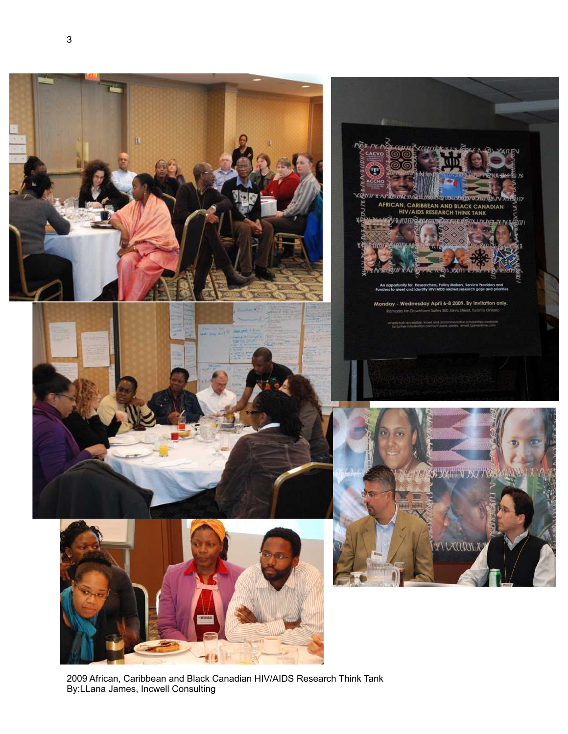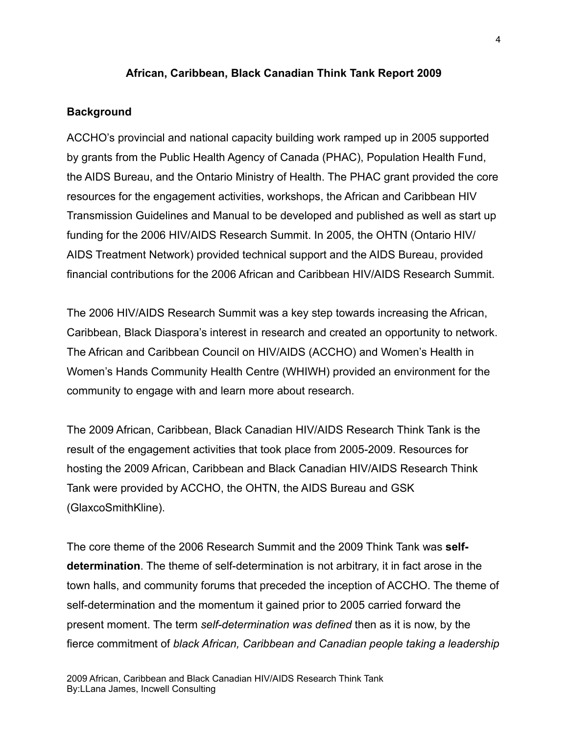#### **African, Caribbean, Black Canadian Think Tank Report 2009**

#### **Background**

ACCHO's provincial and national capacity building work ramped up in 2005 supported by grants from the Public Health Agency of Canada (PHAC), Population Health Fund, the AIDS Bureau, and the Ontario Ministry of Health. The PHAC grant provided the core resources for the engagement activities, workshops, the African and Caribbean HIV Transmission Guidelines and Manual to be developed and published as well as start up funding for the 2006 HIV/AIDS Research Summit. In 2005, the OHTN (Ontario HIV/ AIDS Treatment Network) provided technical support and the AIDS Bureau, provided financial contributions for the 2006 African and Caribbean HIV/AIDS Research Summit.

The 2006 HIV/AIDS Research Summit was a key step towards increasing the African, Caribbean, Black Diaspora's interest in research and created an opportunity to network. The African and Caribbean Council on HIV/AIDS (ACCHO) and Women's Health in Women's Hands Community Health Centre (WHIWH) provided an environment for the community to engage with and learn more about research.

The 2009 African, Caribbean, Black Canadian HIV/AIDS Research Think Tank is the result of the engagement activities that took place from 2005-2009. Resources for hosting the 2009 African, Caribbean and Black Canadian HIV/AIDS Research Think Tank were provided by ACCHO, the OHTN, the AIDS Bureau and GSK (GlaxcoSmithKline).

The core theme of the 2006 Research Summit and the 2009 Think Tank was **selfdetermination**. The theme of self-determination is not arbitrary, it in fact arose in the town halls, and community forums that preceded the inception of ACCHO. The theme of self-determination and the momentum it gained prior to 2005 carried forward the present moment. The term *self-determination was defined* then as it is now, by the fierce commitment of *black African, Caribbean and Canadian people taking a leadership*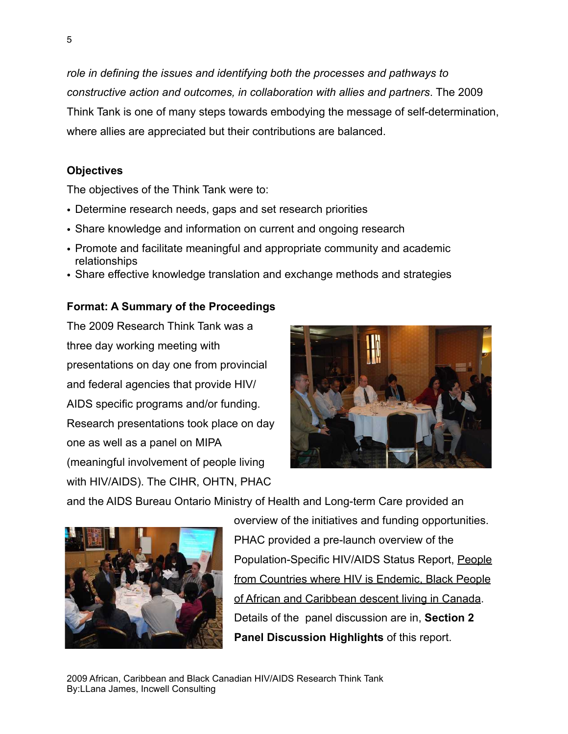*role in defining the issues and identifying both the processes and pathways to constructive action and outcomes, in collaboration with allies and partners*. The 2009 Think Tank is one of many steps towards embodying the message of self-determination, where allies are appreciated but their contributions are balanced.

# **Objectives**

The objectives of the Think Tank were to:

- Determine research needs, gaps and set research priorities
- Share knowledge and information on current and ongoing research
- Promote and facilitate meaningful and appropriate community and academic relationships
- Share effective knowledge translation and exchange methods and strategies

# **Format: A Summary of the Proceedings**

The 2009 Research Think Tank was a three day working meeting with presentations on day one from provincial and federal agencies that provide HIV/ AIDS specific programs and/or funding. Research presentations took place on day one as well as a panel on MIPA (meaningful involvement of people living with HIV/AIDS). The CIHR, OHTN, PHAC



and the AIDS Bureau Ontario Ministry of Health and Long-term Care provided an



overview of the initiatives and funding opportunities. PHAC provided a pre-launch overview of the Population-Specific HIV/AIDS Status Report, People from Countries where HIV is Endemic, Black People of African and Caribbean descent living in Canada. Details of the panel discussion are in, **Section 2 Panel Discussion Highlights** of this report.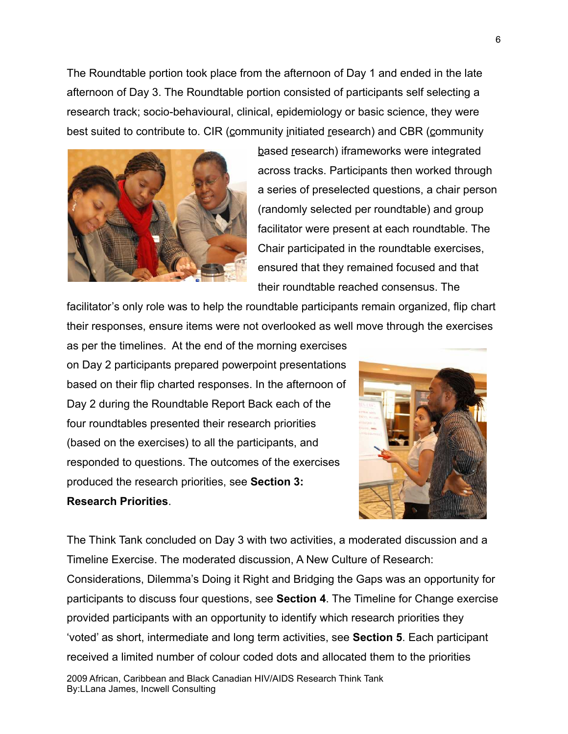The Roundtable portion took place from the afternoon of Day 1 and ended in the late afternoon of Day 3. The Roundtable portion consisted of participants self selecting a research track; socio-behavioural, clinical, epidemiology or basic science, they were best suited to contribute to. CIR (community initiated research) and CBR (community



based research) iframeworks were integrated across tracks. Participants then worked through a series of preselected questions, a chair person (randomly selected per roundtable) and group facilitator were present at each roundtable. The Chair participated in the roundtable exercises, ensured that they remained focused and that their roundtable reached consensus. The

facilitator's only role was to help the roundtable participants remain organized, flip chart their responses, ensure items were not overlooked as well move through the exercises

as per the timelines. At the end of the morning exercises on Day 2 participants prepared powerpoint presentations based on their flip charted responses. In the afternoon of Day 2 during the Roundtable Report Back each of the four roundtables presented their research priorities (based on the exercises) to all the participants, and responded to questions. The outcomes of the exercises produced the research priorities, see **Section 3: Research Priorities**.



The Think Tank concluded on Day 3 with two activities, a moderated discussion and a Timeline Exercise. The moderated discussion, A New Culture of Research:

Considerations, Dilemma's Doing it Right and Bridging the Gaps was an opportunity for participants to discuss four questions, see **Section 4**. The Timeline for Change exercise provided participants with an opportunity to identify which research priorities they 'voted' as short, intermediate and long term activities, see **Section 5**. Each participant received a limited number of colour coded dots and allocated them to the priorities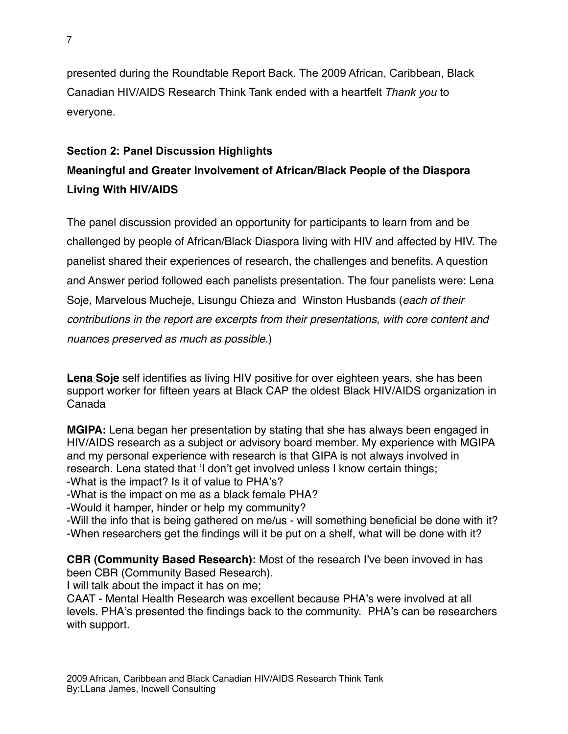presented during the Roundtable Report Back. The 2009 African, Caribbean, Black Canadian HIV/AIDS Research Think Tank ended with a heartfelt *Thank you* to everyone.

# **Section 2: Panel Discussion Highlights**

# **Meaningful and Greater Involvement of African/Black People of the Diaspora Living With HIV/AIDS**

The panel discussion provided an opportunity for participants to learn from and be challenged by people of African/Black Diaspora living with HIV and affected by HIV. The panelist shared their experiences of research, the challenges and benefits. A question and Answer period followed each panelists presentation. The four panelists were: Lena Soje, Marvelous Mucheje, Lisungu Chieza and Winston Husbands (*each of their contributions in the report are excerpts from their presentations, with core content and nuances preserved as much as possible*.)

**Lena Soje** self identifies as living HIV positive for over eighteen years, she has been support worker for fifteen years at Black CAP the oldest Black HIV/AIDS organization in Canada

**MGIPA:** Lena began her presentation by stating that she has always been engaged in HIV/AIDS research as a subject or advisory board member. My experience with MGIPA and my personal experience with research is that GIPA is not always involved in research. Lena stated that ʻI don't get involved unless I know certain things; -What is the impact? Is it of value to PHA's?

-What is the impact on me as a black female PHA?

-Would it hamper, hinder or help my community?

-Will the info that is being gathered on me/us - will something beneficial be done with it? -When researchers get the findings will it be put on a shelf, what will be done with it?

**CBR (Community Based Research):** Most of the research I've been invoved in has been CBR (Community Based Research).

I will talk about the impact it has on me;

CAAT - Mental Health Research was excellent because PHA's were involved at all levels. PHA's presented the findings back to the community. PHA's can be researchers with support.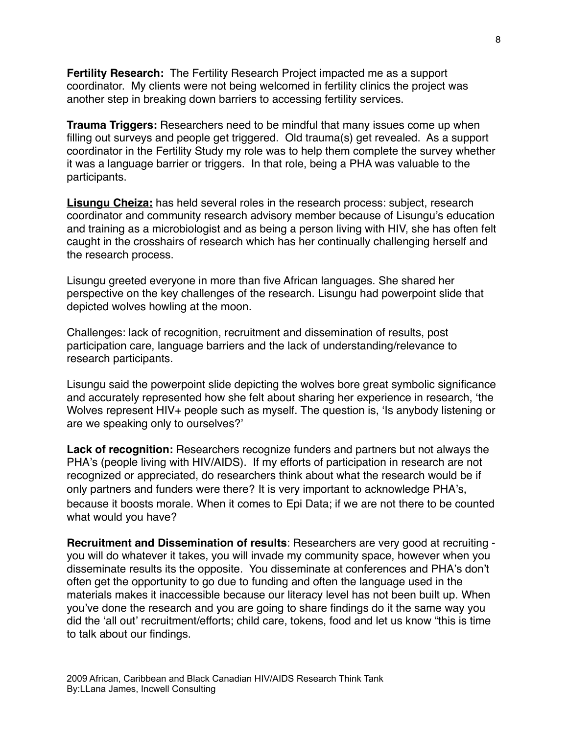**Fertility Research:** The Fertility Research Project impacted me as a support coordinator. My clients were not being welcomed in fertility clinics the project was another step in breaking down barriers to accessing fertility services.

**Trauma Triggers:** Researchers need to be mindful that many issues come up when filling out surveys and people get triggered. Old trauma(s) get revealed. As a support coordinator in the Fertility Study my role was to help them complete the survey whether it was a language barrier or triggers. In that role, being a PHA was valuable to the participants.

**Lisungu Cheiza:** has held several roles in the research process: subject, research coordinator and community research advisory member because of Lisungu's education and training as a microbiologist and as being a person living with HIV, she has often felt caught in the crosshairs of research which has her continually challenging herself and the research process.

Lisungu greeted everyone in more than five African languages. She shared her perspective on the key challenges of the research. Lisungu had powerpoint slide that depicted wolves howling at the moon.

Challenges: lack of recognition, recruitment and dissemination of results, post participation care, language barriers and the lack of understanding/relevance to research participants.

Lisungu said the powerpoint slide depicting the wolves bore great symbolic significance and accurately represented how she felt about sharing her experience in research, ʻthe Wolves represent HIV+ people such as myself. The question is, 'Is anybody listening or are we speaking only to ourselves?'

**Lack of recognition:** Researchers recognize funders and partners but not always the PHA's (people living with HIV/AIDS). If my efforts of participation in research are not recognized or appreciated, do researchers think about what the research would be if only partners and funders were there? It is very important to acknowledge PHA's, because it boosts morale. When it comes to Epi Data; if we are not there to be counted what would you have?

**Recruitment and Dissemination of results**: Researchers are very good at recruiting you will do whatever it takes, you will invade my community space, however when you disseminate results its the opposite. You disseminate at conferences and PHA's don't often get the opportunity to go due to funding and often the language used in the materials makes it inaccessible because our literacy level has not been built up. When you've done the research and you are going to share findings do it the same way you did the ʻall out' recruitment/efforts; child care, tokens, food and let us know "this is time to talk about our findings.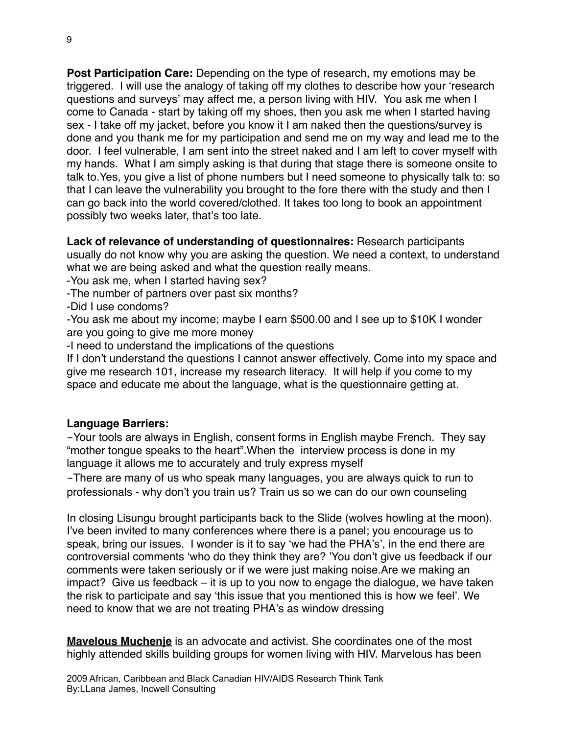**Post Participation Care:** Depending on the type of research, my emotions may be triggered. I will use the analogy of taking off my clothes to describe how your ʻresearch questions and surveys' may affect me, a person living with HIV. You ask me when I come to Canada - start by taking off my shoes, then you ask me when I started having sex - I take off my jacket, before you know it I am naked then the questions/survey is done and you thank me for my participation and send me on my way and lead me to the door. I feel vulnerable, I am sent into the street naked and I am left to cover myself with my hands. What I am simply asking is that during that stage there is someone onsite to talk to.Yes, you give a list of phone numbers but I need someone to physically talk to: so that I can leave the vulnerability you brought to the fore there with the study and then I can go back into the world covered/clothed. It takes too long to book an appointment possibly two weeks later, that's too late.

**Lack of relevance of understanding of questionnaires:** Research participants usually do not know why you are asking the question. We need a context, to understand what we are being asked and what the question really means.

-You ask me, when I started having sex?

-The number of partners over past six months?

-Did I use condoms?

-You ask me about my income; maybe I earn \$500.00 and I see up to \$10K I wonder are you going to give me more money

-I need to understand the implications of the questions

If I don't understand the questions I cannot answer effectively. Come into my space and give me research 101, increase my research literacy. It will help if you come to my space and educate me about the language, what is the questionnaire getting at.

#### **Language Barriers:**

-Your tools are always in English, consent forms in English maybe French. They say "mother tongue speaks to the heart".When the interview process is done in my language it allows me to accurately and truly express myself

-There are many of us who speak many languages, you are always quick to run to professionals - why don't you train us? Train us so we can do our own counseling

In closing Lisungu brought participants back to the Slide (wolves howling at the moon). I've been invited to many conferences where there is a panel; you encourage us to speak, bring our issues. I wonder is it to say ʻwe had the PHA's', in the end there are controversial comments ʻwho do they think they are? 'You don't give us feedback if our comments were taken seriously or if we were just making noise.Are we making an impact? Give us feedback – it is up to you now to engage the dialogue, we have taken the risk to participate and say ʻthis issue that you mentioned this is how we feel'. We need to know that we are not treating PHA's as window dressing

**Mavelous Muchenje** is an advocate and activist. She coordinates one of the most highly attended skills building groups for women living with HIV. Marvelous has been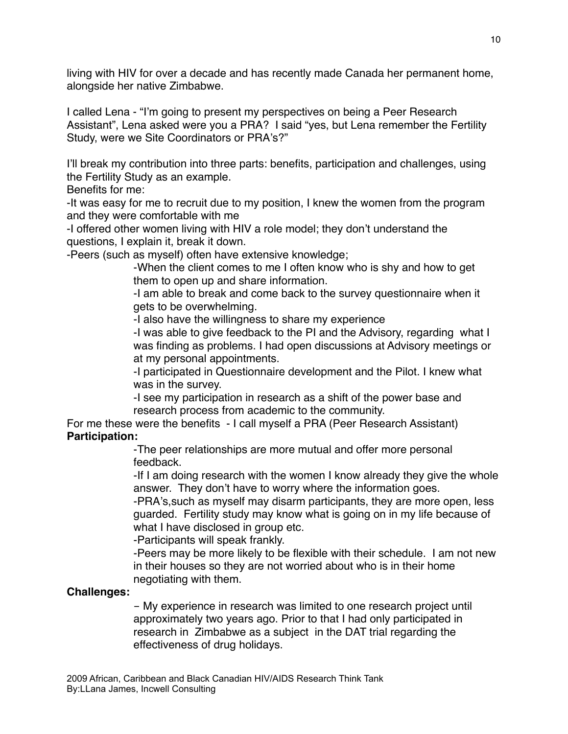living with HIV for over a decade and has recently made Canada her permanent home, alongside her native Zimbabwe.

I called Lena - "I'm going to present my perspectives on being a Peer Research Assistant", Lena asked were you a PRA? I said "yes, but Lena remember the Fertility Study, were we Site Coordinators or PRA's?"

I'll break my contribution into three parts: benefits, participation and challenges, using the Fertility Study as an example.

Benefits for me:

-It was easy for me to recruit due to my position, I knew the women from the program and they were comfortable with me

-I offered other women living with HIV a role model; they don't understand the questions, I explain it, break it down.

-Peers (such as myself) often have extensive knowledge;

-When the client comes to me I often know who is shy and how to get them to open up and share information.

-I am able to break and come back to the survey questionnaire when it gets to be overwhelming.

-I also have the willingness to share my experience

-I was able to give feedback to the PI and the Advisory, regarding what I was finding as problems. I had open discussions at Advisory meetings or at my personal appointments.

-I participated in Questionnaire development and the Pilot. I knew what was in the survey.

-I see my participation in research as a shift of the power base and research process from academic to the community.

For me these were the benefits - I call myself a PRA (Peer Research Assistant) **Participation:** 

> -The peer relationships are more mutual and offer more personal feedback.

-If I am doing research with the women I know already they give the whole answer. They don't have to worry where the information goes.

-PRA's,such as myself may disarm participants, they are more open, less guarded. Fertility study may know what is going on in my life because of what I have disclosed in group etc.

-Participants will speak frankly.

-Peers may be more likely to be flexible with their schedule. I am not new in their houses so they are not worried about who is in their home negotiating with them.

# **Challenges:**

- My experience in research was limited to one research project until approximately two years ago. Prior to that I had only participated in research in Zimbabwe as a subject in the DAT trial regarding the effectiveness of drug holidays.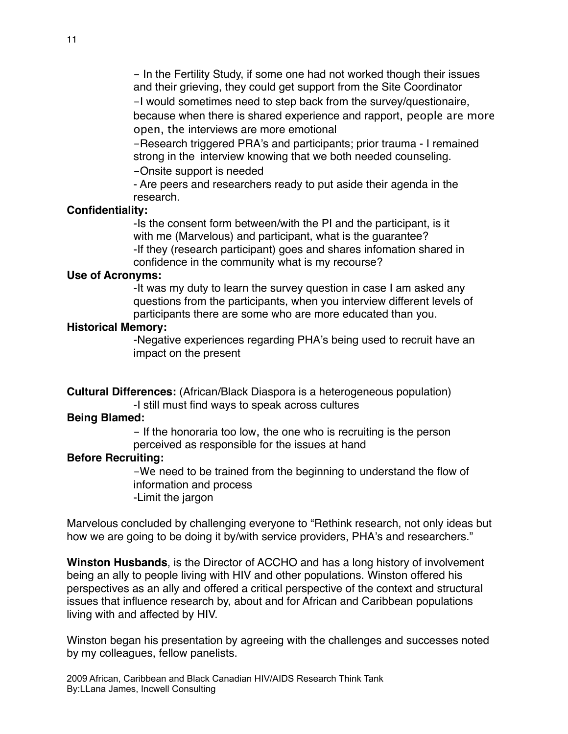- In the Fertility Study, if some one had not worked though their issues and their grieving, they could get support from the Site Coordinator

 -I would sometimes need to step back from the survey/questionaire, because when there is shared experience and rapport, people are more open, the interviews are more emotional

 -Research triggered PRA's and participants; prior trauma - I remained strong in the interview knowing that we both needed counseling.

-Onsite support is needed

 - Are peers and researchers ready to put aside their agenda in the research.

#### **Confidentiality:**

 -Is the consent form between/with the PI and the participant, is it with me (Marvelous) and participant, what is the guarantee? -If they (research participant) goes and shares infomation shared in confidence in the community what is my recourse?

#### **Use of Acronyms:**

 -It was my duty to learn the survey question in case I am asked any questions from the participants, when you interview different levels of participants there are some who are more educated than you.

#### **Historical Memory:**

 -Negative experiences regarding PHA's being used to recruit have an impact on the present

**Cultural Differences:** (African/Black Diaspora is a heterogeneous population)

-I still must find ways to speak across cultures

#### **Being Blamed:**

 - If the honoraria too low, the one who is recruiting is the person perceived as responsible for the issues at hand

#### **Before Recruiting:**

 -We need to be trained from the beginning to understand the flow of information and process -Limit the jargon

Marvelous concluded by challenging everyone to "Rethink research, not only ideas but how we are going to be doing it by/with service providers, PHA's and researchers."

**Winston Husbands**, is the Director of ACCHO and has a long history of involvement being an ally to people living with HIV and other populations. Winston offered his perspectives as an ally and offered a critical perspective of the context and structural issues that influence research by, about and for African and Caribbean populations living with and affected by HIV.

Winston began his presentation by agreeing with the challenges and successes noted by my colleagues, fellow panelists.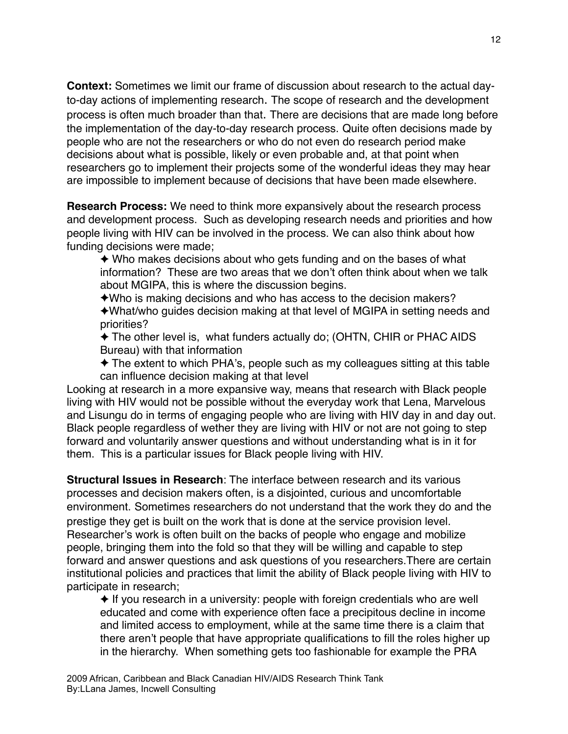**Context:** Sometimes we limit our frame of discussion about research to the actual dayto-day actions of implementing research. The scope of research and the development process is often much broader than that. There are decisions that are made long before the implementation of the day-to-day research process. Quite often decisions made by people who are not the researchers or who do not even do research period make decisions about what is possible, likely or even probable and, at that point when researchers go to implement their projects some of the wonderful ideas they may hear are impossible to implement because of decisions that have been made elsewhere.

**Research Process:** We need to think more expansively about the research process and development process. Such as developing research needs and priorities and how people living with HIV can be involved in the process. We can also think about how funding decisions were made;

✦ Who makes decisions about who gets funding and on the bases of what information? These are two areas that we don't often think about when we talk about MGIPA, this is where the discussion begins.

✦Who is making decisions and who has access to the decision makers?

✦What/who guides decision making at that level of MGIPA in setting needs and priorities?

✦ The other level is, what funders actually do; (OHTN, CHIR or PHAC AIDS Bureau) with that information

✦ The extent to which PHA's, people such as my colleagues sitting at this table can influence decision making at that level

Looking at research in a more expansive way, means that research with Black people living with HIV would not be possible without the everyday work that Lena, Marvelous and Lisungu do in terms of engaging people who are living with HIV day in and day out. Black people regardless of wether they are living with HIV or not are not going to step forward and voluntarily answer questions and without understanding what is in it for them. This is a particular issues for Black people living with HIV.

**Structural Issues in Research**: The interface between research and its various processes and decision makers often, is a disjointed, curious and uncomfortable environment. Sometimes researchers do not understand that the work they do and the prestige they get is built on the work that is done at the service provision level. Researcher's work is often built on the backs of people who engage and mobilize people, bringing them into the fold so that they will be willing and capable to step forward and answer questions and ask questions of you researchers.There are certain institutional policies and practices that limit the ability of Black people living with HIV to participate in research;

✦ If you research in a university: people with foreign credentials who are well educated and come with experience often face a precipitous decline in income and limited access to employment, while at the same time there is a claim that there aren't people that have appropriate qualifications to fill the roles higher up in the hierarchy. When something gets too fashionable for example the PRA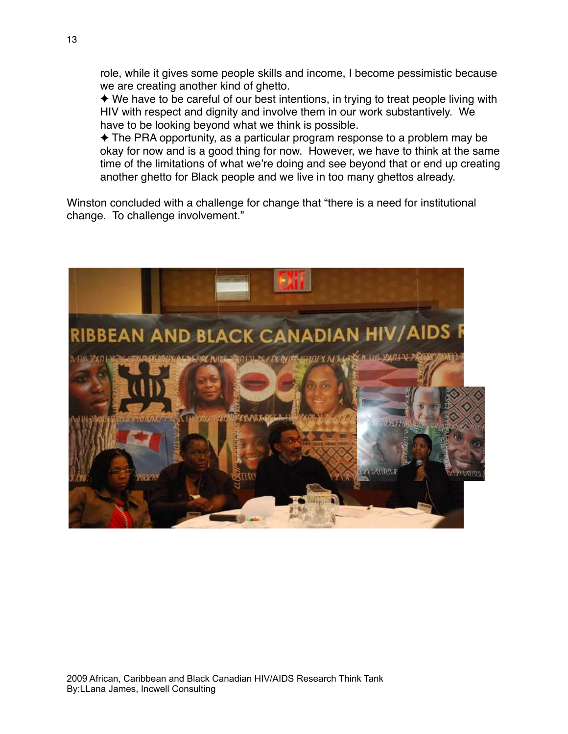role, while it gives some people skills and income, I become pessimistic because we are creating another kind of ghetto.

✦ We have to be careful of our best intentions, in trying to treat people living with HIV with respect and dignity and involve them in our work substantively. We have to be looking beyond what we think is possible.

✦ The PRA opportunity, as a particular program response to a problem may be okay for now and is a good thing for now. However, we have to think at the same time of the limitations of what we're doing and see beyond that or end up creating another ghetto for Black people and we live in too many ghettos already.

Winston concluded with a challenge for change that "there is a need for institutional change. To challenge involvement."

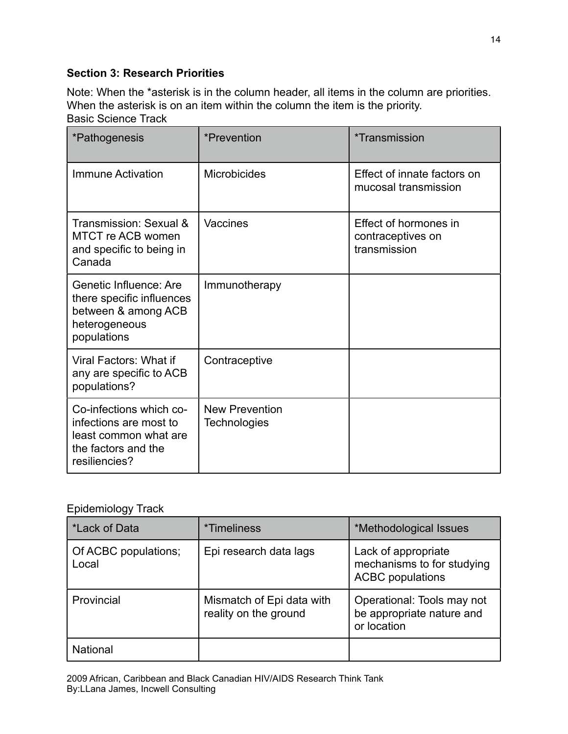# **Section 3: Research Priorities**

Note: When the \*asterisk is in the column header, all items in the column are priorities. When the asterisk is on an item within the column the item is the priority. Basic Science Track

| *Pathogenesis                                                                                                      | *Prevention                           | *Transmission                                              |
|--------------------------------------------------------------------------------------------------------------------|---------------------------------------|------------------------------------------------------------|
| Immune Activation                                                                                                  | <b>Microbicides</b>                   | Effect of innate factors on<br>mucosal transmission        |
| Transmission: Sexual &<br>MTCT re ACB women<br>and specific to being in<br>Canada                                  | Vaccines                              | Effect of hormones in<br>contraceptives on<br>transmission |
| Genetic Influence: Are<br>there specific influences<br>between & among ACB<br>heterogeneous<br>populations         | Immunotherapy                         |                                                            |
| Viral Factors: What if<br>any are specific to ACB<br>populations?                                                  | Contraceptive                         |                                                            |
| Co-infections which co-<br>infections are most to<br>least common what are<br>the factors and the<br>resiliencies? | <b>New Prevention</b><br>Technologies |                                                            |

# Epidemiology Track

| *Lack of Data                 | <i>*</i> Timeliness                                | *Methodological Issues                                                       |
|-------------------------------|----------------------------------------------------|------------------------------------------------------------------------------|
| Of ACBC populations;<br>Local | Epi research data lags                             | Lack of appropriate<br>mechanisms to for studying<br><b>ACBC</b> populations |
| Provincial                    | Mismatch of Epi data with<br>reality on the ground | Operational: Tools may not<br>be appropriate nature and<br>or location       |
| <b>National</b>               |                                                    |                                                                              |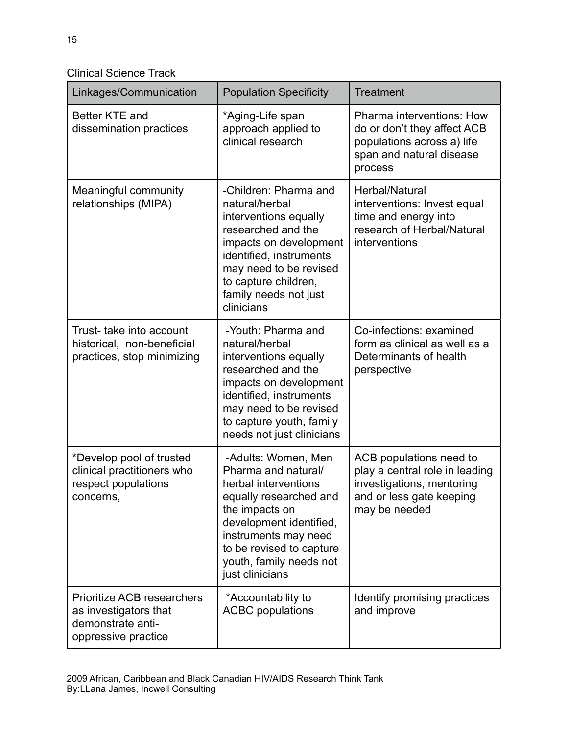Clinical Science Track

| Linkages/Communication                                                                                 | <b>Population Specificity</b>                                                                                                                                                                                                               | <b>Treatment</b>                                                                                                                    |
|--------------------------------------------------------------------------------------------------------|---------------------------------------------------------------------------------------------------------------------------------------------------------------------------------------------------------------------------------------------|-------------------------------------------------------------------------------------------------------------------------------------|
| Better KTE and<br>dissemination practices                                                              | *Aging-Life span<br>approach applied to<br>clinical research                                                                                                                                                                                | Pharma interventions: How<br>do or don't they affect ACB<br>populations across a) life<br>span and natural disease<br>process       |
| Meaningful community<br>relationships (MIPA)                                                           | -Children: Pharma and<br>natural/herbal<br>interventions equally<br>researched and the<br>impacts on development<br>identified, instruments<br>may need to be revised<br>to capture children,<br>family needs not just<br>clinicians        | Herbal/Natural<br>interventions: Invest equal<br>time and energy into<br>research of Herbal/Natural<br>interventions                |
| Trust- take into account<br>historical, non-beneficial<br>practices, stop minimizing                   | -Youth: Pharma and<br>natural/herbal<br>interventions equally<br>researched and the<br>impacts on development<br>identified, instruments<br>may need to be revised<br>to capture youth, family<br>needs not just clinicians                 | Co-infections: examined<br>form as clinical as well as a<br>Determinants of health<br>perspective                                   |
| *Develop pool of trusted<br>clinical practitioners who<br>respect populations<br>concerns,             | -Adults: Women, Men<br>Pharma and natural/<br>herbal interventions<br>equally researched and<br>the impacts on<br>development identified,<br>instruments may need<br>to be revised to capture<br>youth, family needs not<br>just clinicians | ACB populations need to<br>play a central role in leading<br>investigations, mentoring<br>and or less gate keeping<br>may be needed |
| <b>Prioritize ACB researchers</b><br>as investigators that<br>demonstrate anti-<br>oppressive practice | *Accountability to<br><b>ACBC</b> populations                                                                                                                                                                                               | Identify promising practices<br>and improve                                                                                         |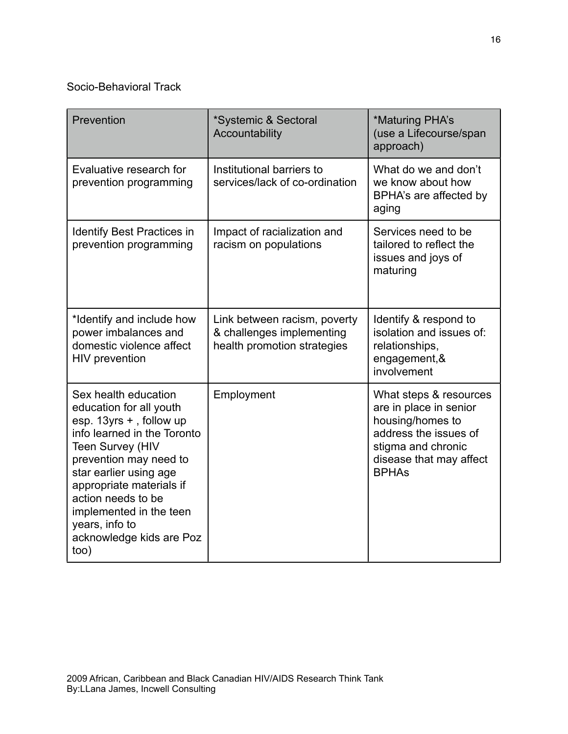# Socio-Behavioral Track

| Prevention                                                                                                                                                                                                                                                                                                                  | *Systemic & Sectoral<br>Accountability                                                   | *Maturing PHA's<br>(use a Lifecourse/span<br>approach)                                                                                                         |
|-----------------------------------------------------------------------------------------------------------------------------------------------------------------------------------------------------------------------------------------------------------------------------------------------------------------------------|------------------------------------------------------------------------------------------|----------------------------------------------------------------------------------------------------------------------------------------------------------------|
| Evaluative research for<br>prevention programming                                                                                                                                                                                                                                                                           | Institutional barriers to<br>services/lack of co-ordination                              | What do we and don't<br>we know about how<br>BPHA's are affected by<br>aging                                                                                   |
| <b>Identify Best Practices in</b><br>prevention programming                                                                                                                                                                                                                                                                 | Impact of racialization and<br>racism on populations                                     | Services need to be<br>tailored to reflect the<br>issues and joys of<br>maturing                                                                               |
| *Identify and include how<br>power imbalances and<br>domestic violence affect<br>HIV prevention                                                                                                                                                                                                                             | Link between racism, poverty<br>& challenges implementing<br>health promotion strategies | Identify & respond to<br>isolation and issues of:<br>relationships,<br>engagement, &<br>involvement                                                            |
| Sex health education<br>education for all youth<br>esp. 13yrs +, follow up<br>info learned in the Toronto<br><b>Teen Survey (HIV</b><br>prevention may need to<br>star earlier using age<br>appropriate materials if<br>action needs to be<br>implemented in the teen<br>years, info to<br>acknowledge kids are Poz<br>too) | Employment                                                                               | What steps & resources<br>are in place in senior<br>housing/homes to<br>address the issues of<br>stigma and chronic<br>disease that may affect<br><b>BPHAs</b> |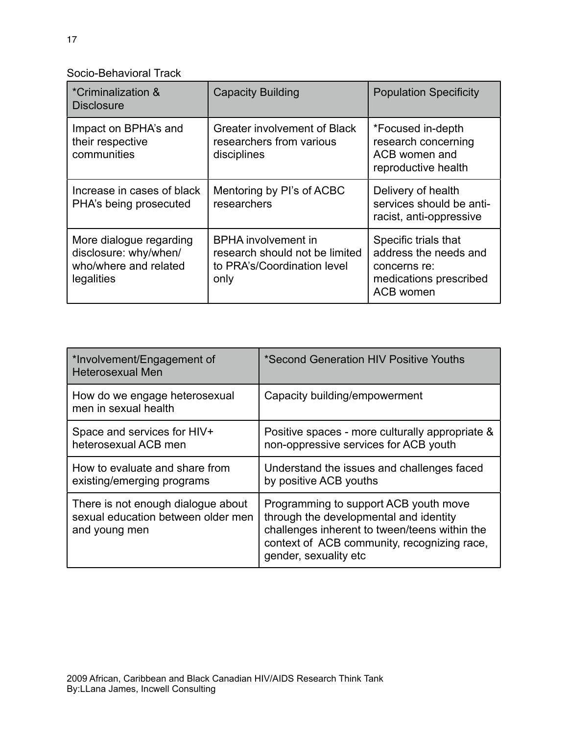Socio-Behavioral Track

| *Criminalization &<br><b>Disclosure</b>                                                 | <b>Capacity Building</b>                                                                            | <b>Population Specificity</b>                                                                        |
|-----------------------------------------------------------------------------------------|-----------------------------------------------------------------------------------------------------|------------------------------------------------------------------------------------------------------|
| Impact on BPHA's and<br>their respective<br>communities                                 | Greater involvement of Black<br>researchers from various<br>disciplines                             | *Focused in-depth<br>research concerning<br>ACB women and<br>reproductive health                     |
| Increase in cases of black<br>PHA's being prosecuted                                    | Mentoring by Pl's of ACBC<br>researchers                                                            | Delivery of health<br>services should be anti-<br>racist, anti-oppressive                            |
| More dialogue regarding<br>disclosure: why/when/<br>who/where and related<br>legalities | <b>BPHA</b> involvement in<br>research should not be limited<br>to PRA's/Coordination level<br>only | Specific trials that<br>address the needs and<br>concerns re:<br>medications prescribed<br>ACB women |

| *Involvement/Engagement of<br><b>Heterosexual Men</b>                                     | *Second Generation HIV Positive Youths                                                                                                                                                                   |
|-------------------------------------------------------------------------------------------|----------------------------------------------------------------------------------------------------------------------------------------------------------------------------------------------------------|
| How do we engage heterosexual<br>men in sexual health                                     | Capacity building/empowerment                                                                                                                                                                            |
| Space and services for HIV+<br>heterosexual ACB men                                       | Positive spaces - more culturally appropriate &<br>non-oppressive services for ACB youth                                                                                                                 |
| How to evaluate and share from<br>existing/emerging programs                              | Understand the issues and challenges faced<br>by positive ACB youths                                                                                                                                     |
| There is not enough dialogue about<br>sexual education between older men<br>and young men | Programming to support ACB youth move<br>through the developmental and identity<br>challenges inherent to tween/teens within the<br>context of ACB community, recognizing race,<br>gender, sexuality etc |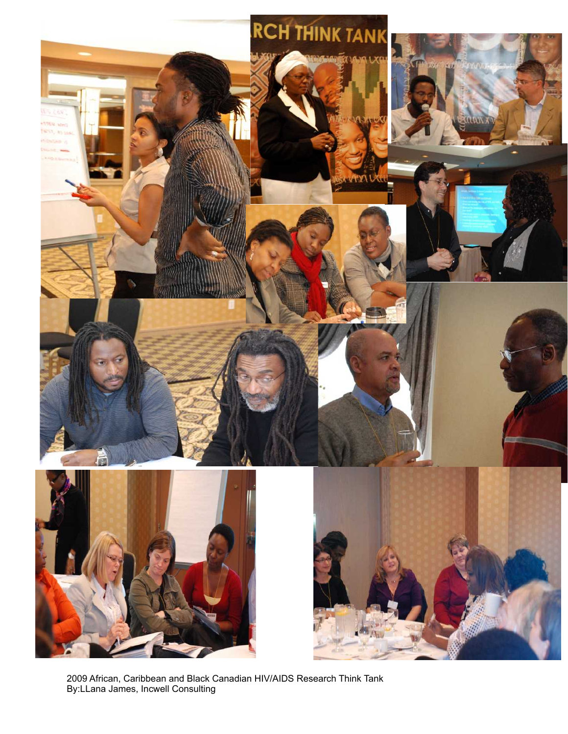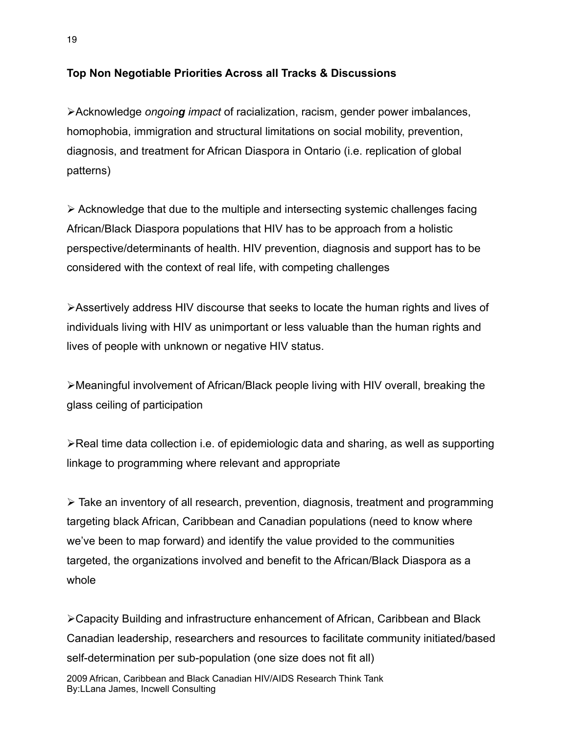# **Top Non Negotiable Priorities Across all Tracks & Discussions**

Acknowledge *ongoing impact* of racialization, racism, gender power imbalances, homophobia, immigration and structural limitations on social mobility, prevention, diagnosis, and treatment for African Diaspora in Ontario (i.e. replication of global patterns)

 $\triangleright$  Acknowledge that due to the multiple and intersecting systemic challenges facing African/Black Diaspora populations that HIV has to be approach from a holistic perspective/determinants of health. HIV prevention, diagnosis and support has to be considered with the context of real life, with competing challenges

Assertively address HIV discourse that seeks to locate the human rights and lives of individuals living with HIV as unimportant or less valuable than the human rights and lives of people with unknown or negative HIV status.

Meaningful involvement of African/Black people living with HIV overall, breaking the glass ceiling of participation

 $\blacktriangleright$ Real time data collection i.e. of epidemiologic data and sharing, as well as supporting linkage to programming where relevant and appropriate

 Take an inventory of all research, prevention, diagnosis, treatment and programming targeting black African, Caribbean and Canadian populations (need to know where we've been to map forward) and identify the value provided to the communities targeted, the organizations involved and benefit to the African/Black Diaspora as a whole

Capacity Building and infrastructure enhancement of African, Caribbean and Black Canadian leadership, researchers and resources to facilitate community initiated/based self-determination per sub-population (one size does not fit all)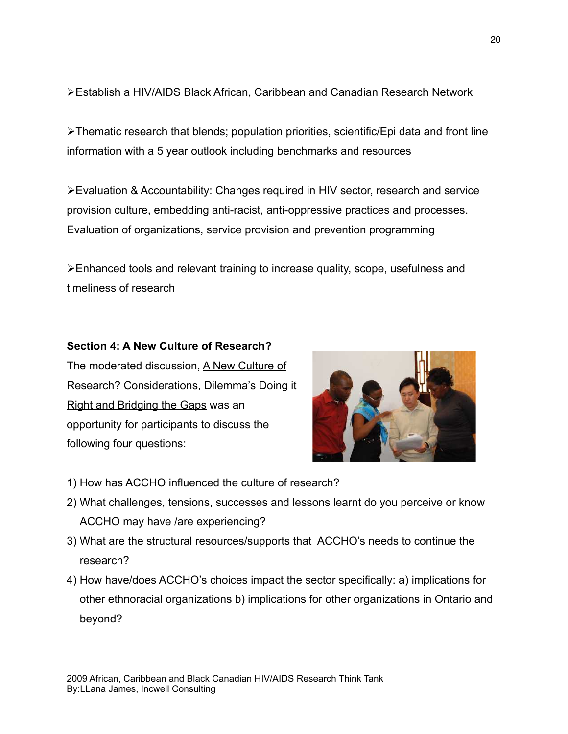Establish a HIV/AIDS Black African, Caribbean and Canadian Research Network

Thematic research that blends; population priorities, scientific/Epi data and front line information with a 5 year outlook including benchmarks and resources

Evaluation & Accountability: Changes required in HIV sector, research and service provision culture, embedding anti-racist, anti-oppressive practices and processes. Evaluation of organizations, service provision and prevention programming

Enhanced tools and relevant training to increase quality, scope, usefulness and timeliness of research

# **Section 4: A New Culture of Research?**

The moderated discussion, A New Culture of Research? Considerations, Dilemma's Doing it Right and Bridging the Gaps was an opportunity for participants to discuss the following four questions:



- 1) How has ACCHO influenced the culture of research?
- 2) What challenges, tensions, successes and lessons learnt do you perceive or know ACCHO may have /are experiencing?
- 3) What are the structural resources/supports that ACCHO's needs to continue the research?
- 4) How have/does ACCHO's choices impact the sector specifically: a) implications for other ethnoracial organizations b) implications for other organizations in Ontario and beyond?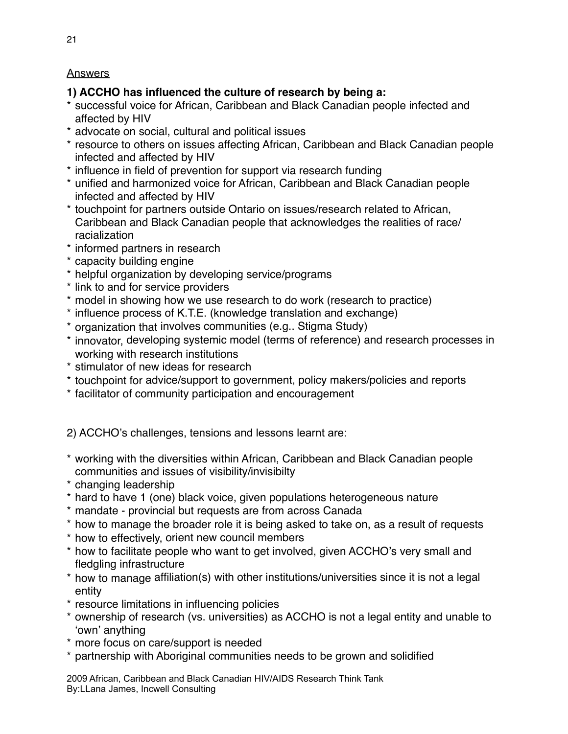# Answers

# **1) ACCHO has influenced the culture of research by being a:**

- \* successful voice for African, Caribbean and Black Canadian people infected and affected by HIV
- \* advocate on social, cultural and political issues
- \* resource to others on issues affecting African, Caribbean and Black Canadian people infected and affected by HIV
- \* influence in field of prevention for support via research funding
- \* unified and harmonized voice for African, Caribbean and Black Canadian people infected and affected by HIV
- \* touchpoint for partners outside Ontario on issues/research related to African, Caribbean and Black Canadian people that acknowledges the realities of race/ racialization
- \* informed partners in research
- \* capacity building engine
- \* helpful organization by developing service/programs
- \* link to and for service providers
- \* model in showing how we use research to do work (research to practice)
- \* influence process of K.T.E. (knowledge translation and exchange)
- \* organization that involves communities (e.g.. Stigma Study)
- \* innovator, developing systemic model (terms of reference) and research processes in working with research institutions
- \* stimulator of new ideas for research
- \* touchpoint for advice/support to government, policy makers/policies and reports
- \* facilitator of community participation and encouragement

2) ACCHO's challenges, tensions and lessons learnt are:

- \* working with the diversities within African, Caribbean and Black Canadian people communities and issues of visibility/invisibilty
- \* changing leadership
- \* hard to have 1 (one) black voice, given populations heterogeneous nature
- \* mandate provincial but requests are from across Canada
- \* how to manage the broader role it is being asked to take on, as a result of requests
- \* how to effectively, orient new council members
- \* how to facilitate people who want to get involved, given ACCHO's very small and fledgling infrastructure
- \* how to manage affiliation(s) with other institutions/universities since it is not a legal entity
- \* resource limitations in influencing policies
- \* ownership of research (vs. universities) as ACCHO is not a legal entity and unable to ʻown' anything
- \* more focus on care/support is needed
- \* partnership with Aboriginal communities needs to be grown and solidified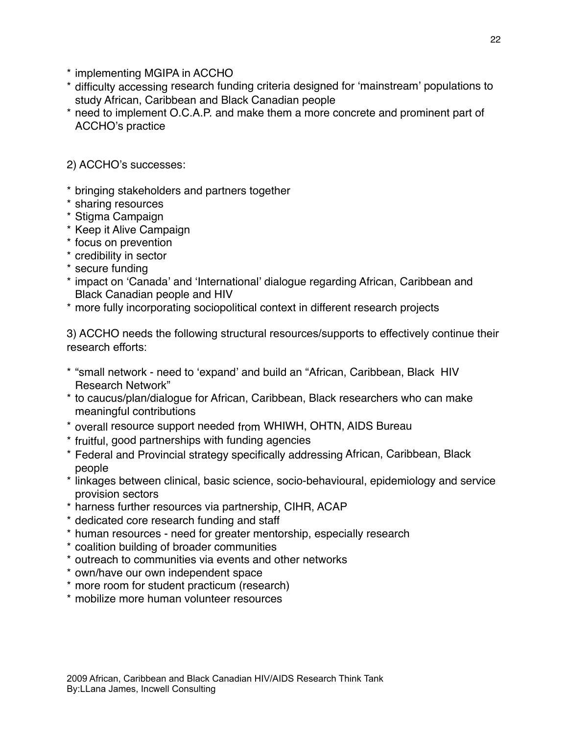- \* implementing MGIPA in ACCHO
- \* difficulty accessing research funding criteria designed for ʻmainstream' populations to study African, Caribbean and Black Canadian people
- \* need to implement O.C.A.P. and make them a more concrete and prominent part of ACCHO's practice

2) ACCHO's successes:

- \* bringing stakeholders and partners together
- \* sharing resources
- \* Stigma Campaign
- \* Keep it Alive Campaign
- \* focus on prevention
- \* credibility in sector
- \* secure funding
- \* impact on ʻCanada' and ʻInternational' dialogue regarding African, Caribbean and Black Canadian people and HIV
- \* more fully incorporating sociopolitical context in different research projects

3) ACCHO needs the following structural resources/supports to effectively continue their research efforts:

- \* "small network need to ʻexpand' and build an "African, Caribbean, Black HIV Research Network"
- \* to caucus/plan/dialogue for African, Caribbean, Black researchers who can make meaningful contributions
- \* overall resource support needed from WHIWH, OHTN, AIDS Bureau
- \* fruitful, good partnerships with funding agencies
- \* Federal and Provincial strategy specifically addressing African, Caribbean, Black people
- \* linkages between clinical, basic science, socio-behavioural, epidemiology and service provision sectors
- \* harness further resources via partnership, CIHR, ACAP
- \* dedicated core research funding and staff
- \* human resources need for greater mentorship, especially research
- \* coalition building of broader communities
- \* outreach to communities via events and other networks
- \* own/have our own independent space
- \* more room for student practicum (research)
- \* mobilize more human volunteer resources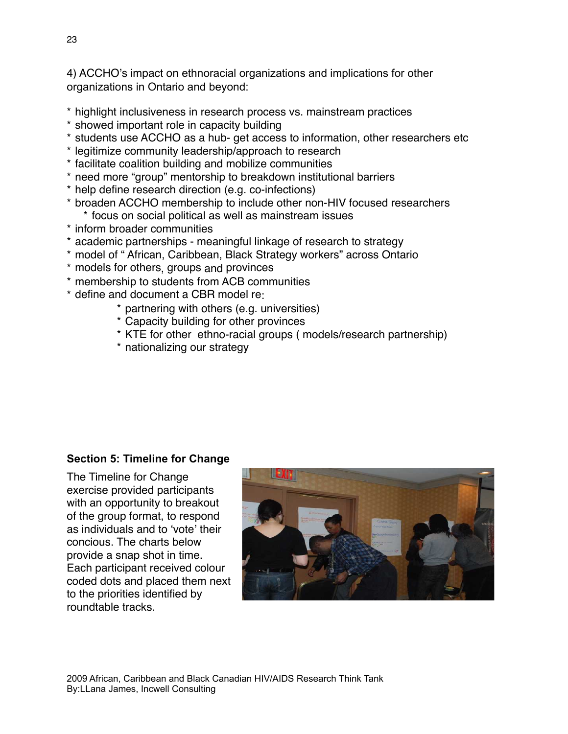4) ACCHO's impact on ethnoracial organizations and implications for other organizations in Ontario and beyond:

- \* highlight inclusiveness in research process vs. mainstream practices
- \* showed important role in capacity building
- \* students use ACCHO as a hub- get access to information, other researchers etc
- \* legitimize community leadership/approach to research
- \* facilitate coalition building and mobilize communities
- \* need more "group" mentorship to breakdown institutional barriers
- \* help define research direction (e.g. co-infections)
- \* broaden ACCHO membership to include other non-HIV focused researchers \* focus on social political as well as mainstream issues
- \* inform broader communities
- \* academic partnerships meaningful linkage of research to strategy
- \* model of " African, Caribbean, Black Strategy workers" across Ontario
- \* models for others, groups and provinces
- \* membership to students from ACB communities
- \* define and document a CBR model re:
	- \* partnering with others (e.g. universities)
	- \* Capacity building for other provinces
	- \* KTE for other ethno-racial groups ( models/research partnership)
	- \* nationalizing our strategy

# **Section 5: Timeline for Change**

The Timeline for Change exercise provided participants with an opportunity to breakout of the group format, to respond as individuals and to ʻvote' their concious. The charts below provide a snap shot in time. Each participant received colour coded dots and placed them next to the priorities identified by roundtable tracks.

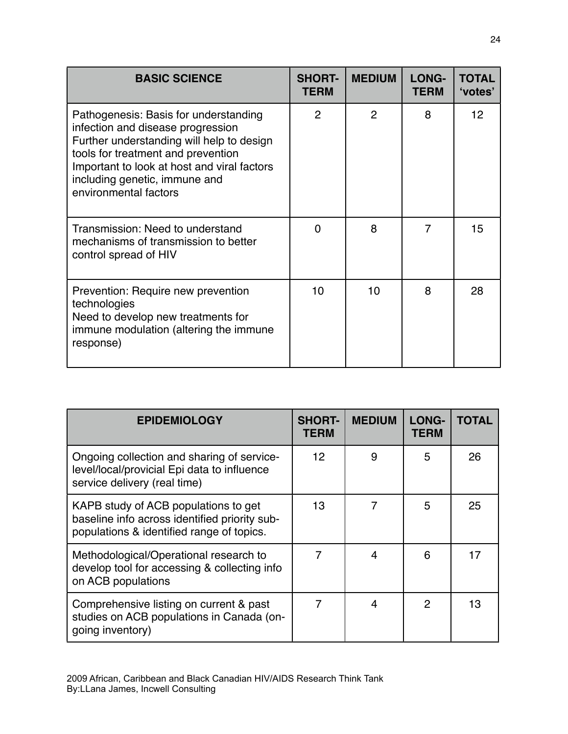| <b>BASIC SCIENCE</b>                                                                                                                                                                                                                                                   | <b>SHORT-</b><br><b>TERM</b> | <b>MEDIUM</b>  | <b>LONG-</b><br><b>TERM</b> | <b>TOTAL</b><br>'votes' |
|------------------------------------------------------------------------------------------------------------------------------------------------------------------------------------------------------------------------------------------------------------------------|------------------------------|----------------|-----------------------------|-------------------------|
| Pathogenesis: Basis for understanding<br>infection and disease progression<br>Further understanding will help to design<br>tools for treatment and prevention<br>Important to look at host and viral factors<br>including genetic, immune and<br>environmental factors | $\overline{2}$               | $\overline{2}$ | 8                           | 12 <sup>2</sup>         |
| Transmission: Need to understand<br>mechanisms of transmission to better<br>control spread of HIV                                                                                                                                                                      | ∩                            | 8              | 7                           | 15                      |
| Prevention: Require new prevention<br>technologies<br>Need to develop new treatments for<br>immune modulation (altering the immune<br>response)                                                                                                                        | 10                           | 10             | 8                           | 28                      |

| <b>EPIDEMIOLOGY</b>                                                                                                                | <b>SHORT-</b><br><b>TERM</b> | <b>MEDIUM</b> | LONG-<br><b>TERM</b> | <b>TOTAL</b> |
|------------------------------------------------------------------------------------------------------------------------------------|------------------------------|---------------|----------------------|--------------|
| Ongoing collection and sharing of service-<br>level/local/provicial Epi data to influence<br>service delivery (real time)          | 12 <sup>2</sup>              | 9             | 5                    | 26           |
| KAPB study of ACB populations to get<br>baseline info across identified priority sub-<br>populations & identified range of topics. | 13                           |               | 5                    | 25           |
| Methodological/Operational research to<br>develop tool for accessing & collecting info<br>on ACB populations                       | 7                            | 4             | 6                    | 17           |
| Comprehensive listing on current & past<br>studies on ACB populations in Canada (on-<br>going inventory)                           |                              | 4             | $\overline{2}$       | 13           |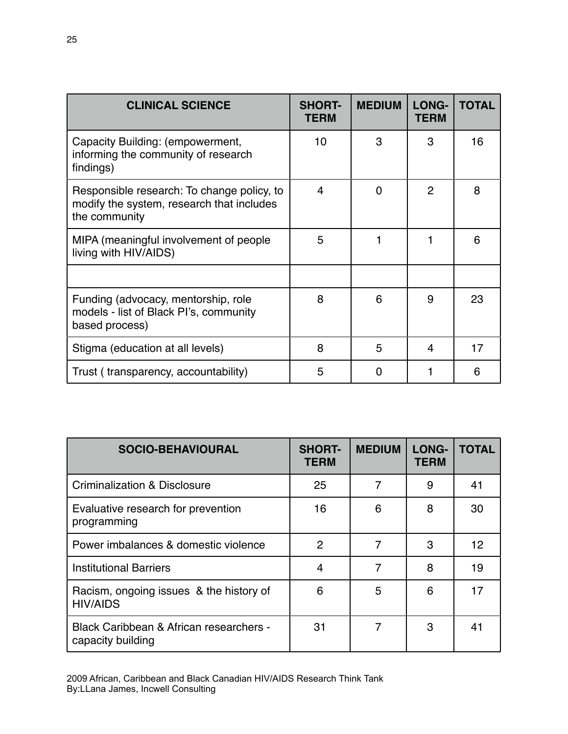| <b>CLINICAL SCIENCE</b>                                                                                  | <b>SHORT-</b><br><b>TERM</b> | <b>MEDIUM</b> | <b>LONG-</b><br><b>TERM</b> | <b>TOTAL</b> |
|----------------------------------------------------------------------------------------------------------|------------------------------|---------------|-----------------------------|--------------|
| Capacity Building: (empowerment,<br>informing the community of research<br>findings)                     | 10                           | 3             | 3                           | 16           |
| Responsible research: To change policy, to<br>modify the system, research that includes<br>the community | $\overline{\mathbf{4}}$      | 0             | $\overline{2}$              | 8            |
| MIPA (meaningful involvement of people<br>living with HIV/AIDS)                                          | 5                            |               | 1                           | 6            |
|                                                                                                          |                              |               |                             |              |
| Funding (advocacy, mentorship, role<br>models - list of Black Pl's, community<br>based process)          | 8                            | 6             | 9                           | 23           |
| Stigma (education at all levels)                                                                         | 8                            | 5             | 4                           | 17           |
| Trust (transparency, accountability)                                                                     | 5                            | 0             |                             | 6            |

| <b>SOCIO-BEHAVIOURAL</b>                                     | <b>SHORT-</b><br><b>TERM</b> | <b>MEDIUM</b> | <b>LONG-</b><br><b>TERM</b> | <b>TOTAL</b> |
|--------------------------------------------------------------|------------------------------|---------------|-----------------------------|--------------|
| <b>Criminalization &amp; Disclosure</b>                      | 25                           | 7             | 9                           | 41           |
| Evaluative research for prevention<br>programming            | 16                           | 6             | 8                           | 30           |
| Power imbalances & domestic violence                         | 2                            | 7             | 3                           | 12           |
| <b>Institutional Barriers</b>                                | 4                            | 7             | 8                           | 19           |
| Racism, ongoing issues & the history of<br><b>HIV/AIDS</b>   | 6                            | 5             | 6                           | 17           |
| Black Caribbean & African researchers -<br>capacity building | 31                           | 7             | 3                           | 41           |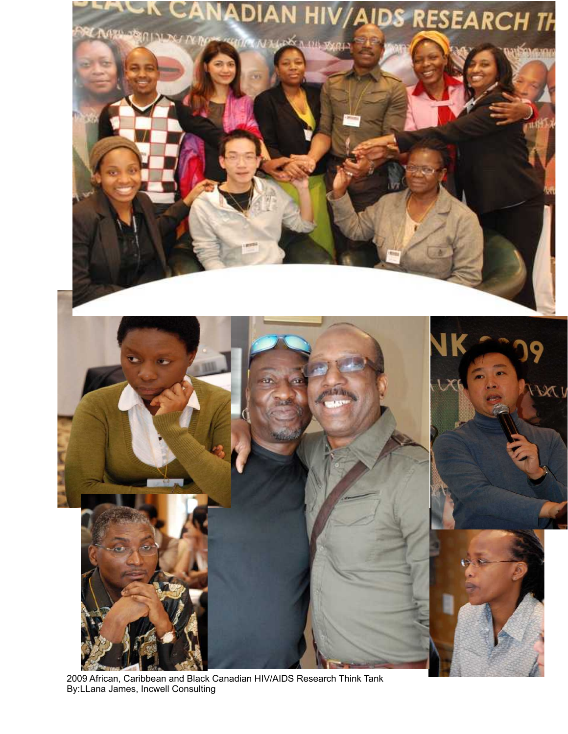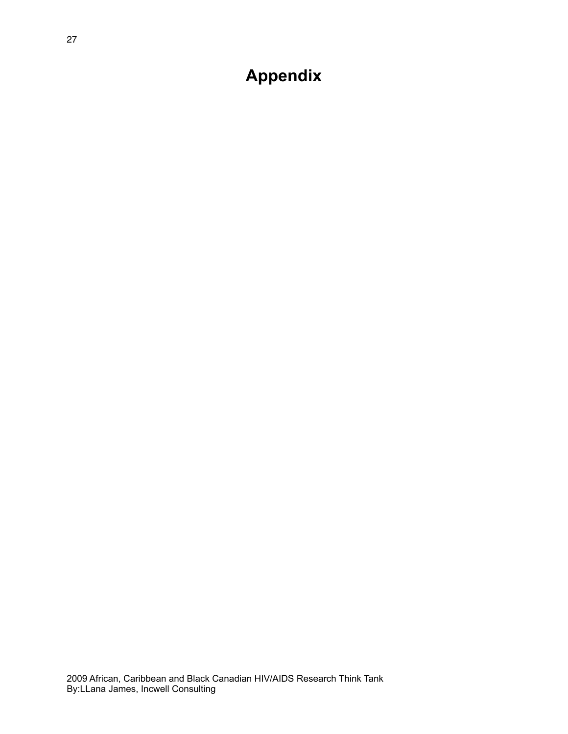**Appendix**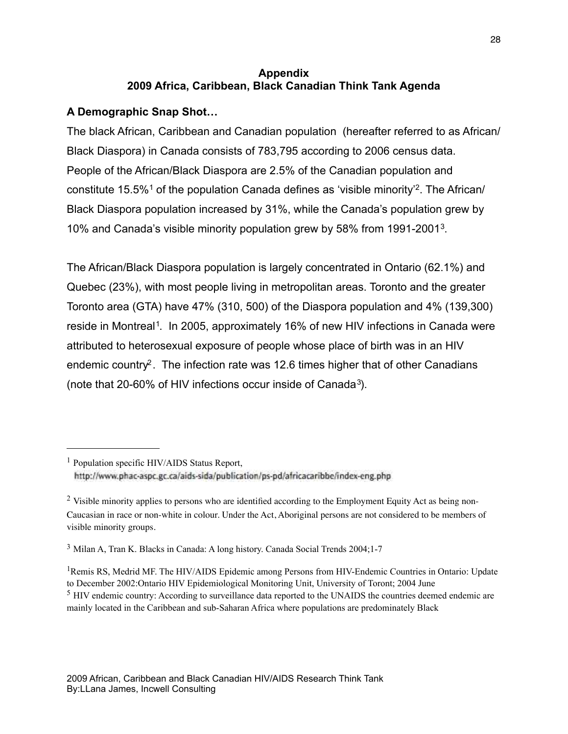#### **Appendix 2009 Africa, Caribbean, Black Canadian Think Tank Agenda**

# **A Demographic Snap Shot…**

The black African, Caribbean and Canadian population (hereafter referred to as African/ Black Diaspora) in Canada consists of 783,795 according to 2006 census data. People of the African/Black Diaspora are 2.5% of the Canadian population and constitute 15.5%[1](#page-27-0) of the population Canada defines as 'visible minority'[2](#page-27-1). The African/ Black Diaspora population increased by 31%, while the Canada's population grew by 10% and Canada's visible minority population grew by 58% from 1991-2001[3](#page-27-2).

The African/Black Diaspora population is largely concentrated in Ontario (62.1%) and Quebec (23%), with most people living in metropolitan areas. Toronto and the greater Toronto area (GTA) have 47% (310, 500) of the Diaspora population and 4% (139,300) reside in Montreal<sup>1</sup>. In 2005, approximately 16% of new HIV infections in Canada were attributed to heterosexual exposure of people whose place of birth was in an HIV endemic country<sup>2</sup>. The infection rate was 12.6 times higher that of other Canadians (note that 20-60% of HIV infections occur inside of Canada3).

<span id="page-27-0"></span><sup>1</sup> Population specific HIV/AIDS Status Report, http://www.phac-aspc.gc.ca/aids-sida/publication/ps-pd/africacaribbe/index-eng.php

<span id="page-27-1"></span><sup>&</sup>lt;sup>2</sup> Visible minority applies to persons who are identified according to the Employment Equity Act as being non-Caucasian in race or non-white in colour. Under the Act, Aboriginal persons are not considered to be members of visible minority groups.

<span id="page-27-2"></span><sup>3</sup> Milan A, Tran K. Blacks in Canada: A long history. Canada Social Trends 2004;1-7

<span id="page-27-3"></span><sup>&</sup>lt;sup>1</sup>Remis RS, Medrid MF. The HIV/AIDS Epidemic among Persons from HIV-Endemic Countries in Ontario: Update to December 2002:Ontario HIV Epidemiological Monitoring Unit, University of Toront; 2004 June <sup>5</sup> HIV endemic country: According to surveillance data reported to the UNAIDS the countries deemed endemic are mainly located in the Caribbean and sub-Saharan Africa where populations are predominately Black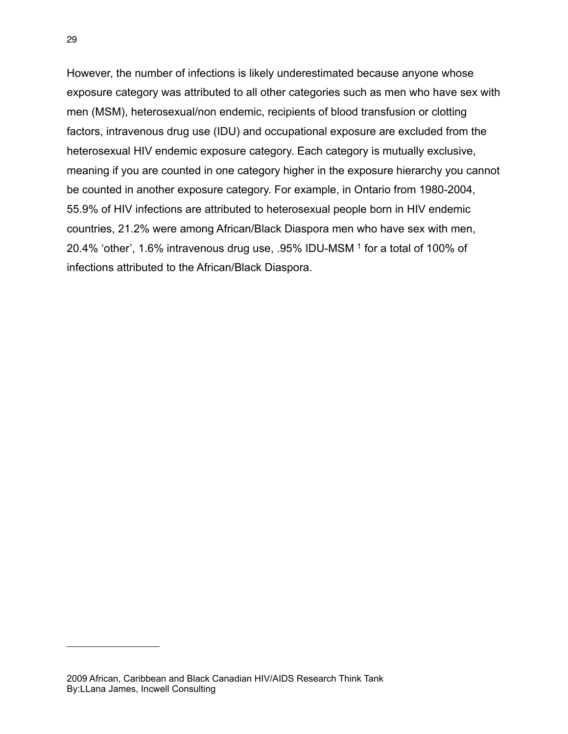However, the number of infections is likely underestimated because anyone whose exposure category was attributed to all other categories such as men who have sex with men (MSM), heterosexual/non endemic, recipients of blood transfusion or clotting factors, intravenous drug use (IDU) and occupational exposure are excluded from the heterosexual HIV endemic exposure category. Each category is mutually exclusive, meaning if you are counted in one category higher in the exposure hierarchy you cannot be counted in another exposure category. For example, in Ontario from 1980-2004, 55.9% of HIV infections are attributed to heterosexual people born in HIV endemic countries, 21.2% were among African/Black Diaspora men who have sex with men, 20.4% 'other', 1.6% intravenous drug use, .95% IDU-MSM 1 for a total of 100% of infections attributed to the African/Black Diaspora.